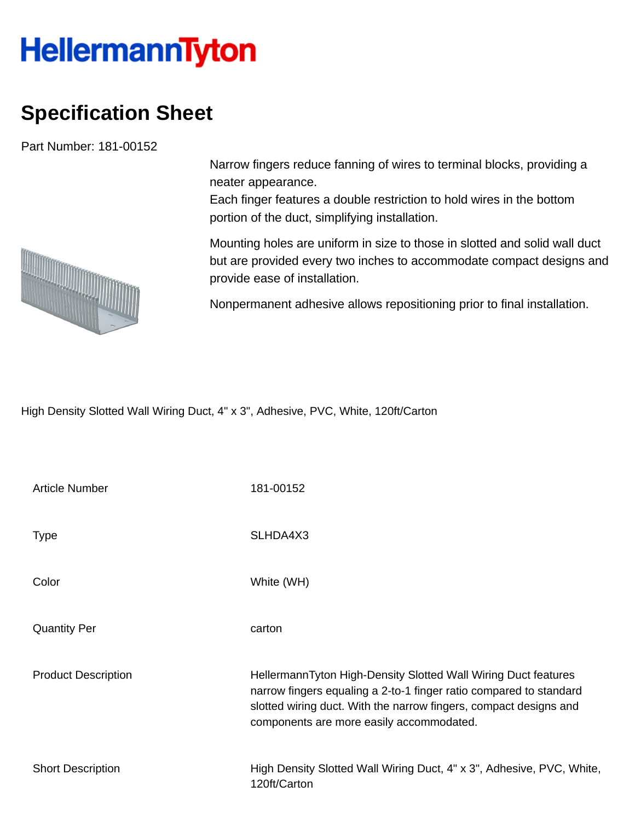## **HellermannTyton**

## **Specification Sheet**

Part Number: 181-00152

Narrow fingers reduce fanning of wires to terminal blocks, providing a neater appearance.

Each finger features a double restriction to hold wires in the bottom portion of the duct, simplifying installation.

Mounting holes are uniform in size to those in slotted and solid wall duct but are provided every two inches to accommodate compact designs and provide ease of installation.

Nonpermanent adhesive allows repositioning prior to final installation.

High Density Slotted Wall Wiring Duct, 4" x 3", Adhesive, PVC, White, 120ft/Carton

| <b>Article Number</b>      | 181-00152                                                                                                                                                                                                                                             |
|----------------------------|-------------------------------------------------------------------------------------------------------------------------------------------------------------------------------------------------------------------------------------------------------|
| <b>Type</b>                | SLHDA4X3                                                                                                                                                                                                                                              |
| Color                      | White (WH)                                                                                                                                                                                                                                            |
| <b>Quantity Per</b>        | carton                                                                                                                                                                                                                                                |
| <b>Product Description</b> | HellermannTyton High-Density Slotted Wall Wiring Duct features<br>narrow fingers equaling a 2-to-1 finger ratio compared to standard<br>slotted wiring duct. With the narrow fingers, compact designs and<br>components are more easily accommodated. |
| <b>Short Description</b>   | High Density Slotted Wall Wiring Duct, 4" x 3", Adhesive, PVC, White,<br>120ft/Carton                                                                                                                                                                 |

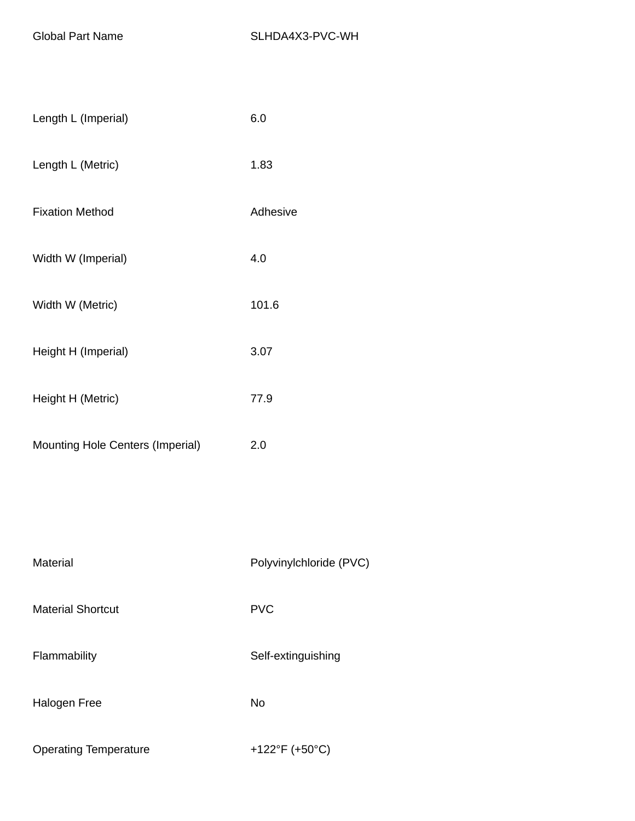| Length L (Imperial)                     | 6.0      |
|-----------------------------------------|----------|
| Length L (Metric)                       | 1.83     |
| <b>Fixation Method</b>                  | Adhesive |
| Width W (Imperial)                      | 4.0      |
| Width W (Metric)                        | 101.6    |
| Height H (Imperial)                     | 3.07     |
| Height H (Metric)                       | 77.9     |
| <b>Mounting Hole Centers (Imperial)</b> | 2.0      |

| Material                     | Polyvinylchloride (PVC) |  |  |
|------------------------------|-------------------------|--|--|
| <b>Material Shortcut</b>     | <b>PVC</b>              |  |  |
| Flammability                 | Self-extinguishing      |  |  |
| Halogen Free                 | No                      |  |  |
| <b>Operating Temperature</b> | +122°F (+50°C)          |  |  |